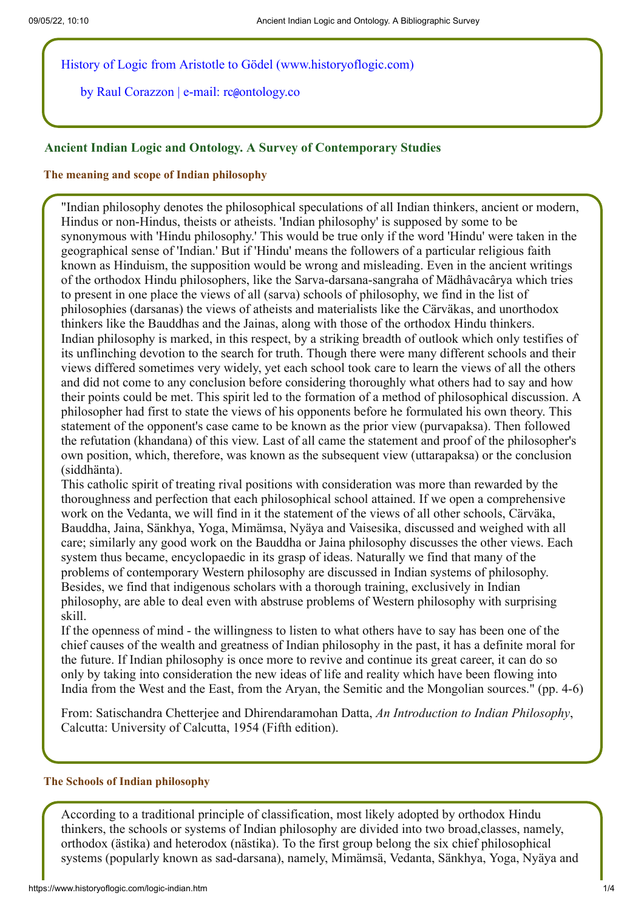History of Logic from Aristotle to Gödel (www.historyoflogic.com)

by Raul Corazzon | e-mail: rc@ontology.co

## **Ancient Indian Logic and Ontology. A Survey of Contemporary Studies**

### **The meaning and scope of Indian philosophy**

"Indian philosophy denotes the philosophical speculations of all Indian thinkers, ancient or modern, Hindus or non-Hindus, theists or atheists. 'Indian philosophy' is supposed by some to be synonymous with 'Hindu philosophy.' This would be true only if the word 'Hindu' were taken in the geographical sense of 'Indian.' But if 'Hindu' means the followers of a particular religious faith known as Hinduism, the supposition would be wrong and misleading. Even in the ancient writings of the orthodox Hindu philosophers, like the Sarva-darsana-sangraha of Mädhâvacârya which tries to present in one place the views of all (sarva) schools of philosophy, we find in the list of philosophies (darsanas) the views of atheists and materialists like the Cärväkas, and unorthodox thinkers like the Bauddhas and the Jainas, along with those of the orthodox Hindu thinkers. Indian philosophy is marked, in this respect, by a striking breadth of outlook which only testifies of its unflinching devotion to the search for truth. Though there were many different schools and their views differed sometimes very widely, yet each school took care to learn the views of all the others and did not come to any conclusion before considering thoroughly what others had to say and how their points could be met. This spirit led to the formation of a method of philosophical discussion. A philosopher had first to state the views of his opponents before he formulated his own theory. This statement of the opponent's case came to be known as the prior view (purvapaksa). Then followed the refutation (khandana) of this view. Last of all came the statement and proof of the philosopher's own position, which, therefore, was known as the subsequent view (uttarapaksa) or the conclusion (siddhänta).

This catholic spirit of treating rival positions with consideration was more than rewarded by the thoroughness and perfection that each philosophical school attained. If we open a comprehensive work on the Vedanta, we will find in it the statement of the views of all other schools, Cärväka, Bauddha, Jaina, Sänkhya, Yoga, Mimämsa, Nyäya and Vaisesika, discussed and weighed with all care; similarly any good work on the Bauddha or Jaina philosophy discusses the other views. Each system thus became, encyclopaedic in its grasp of ideas. Naturally we find that many of the problems of contemporary Western philosophy are discussed in Indian systems of philosophy. Besides, we find that indigenous scholars with a thorough training, exclusively in Indian philosophy, are able to deal even with abstruse problems of Western philosophy with surprising skill.

If the openness of mind - the willingness to listen to what others have to say has been one of the chief causes of the wealth and greatness of Indian philosophy in the past, it has a definite moral for the future. If Indian philosophy is once more to revive and continue its great career, it can do so only by taking into consideration the new ideas of life and reality which have been flowing into India from the West and the East, from the Aryan, the Semitic and the Mongolian sources." (pp. 4-6)

From: Satischandra Chetterjee and Dhirendaramohan Datta, *An Introduction to Indian Philosophy*, Calcutta: University of Calcutta, 1954 (Fifth edition).

#### **The Schools of Indian philosophy**

According to a traditional principle of classification, most likely adopted by orthodox Hindu thinkers, the schools or systems of Indian philosophy are divided into two broad,classes, namely, orthodox (ästika) and heterodox (nästika). To the first group belong the six chief philosophical systems (popularly known as sad-darsana), namely, Mimämsä, Vedanta, Sänkhya, Yoga, Nyäya and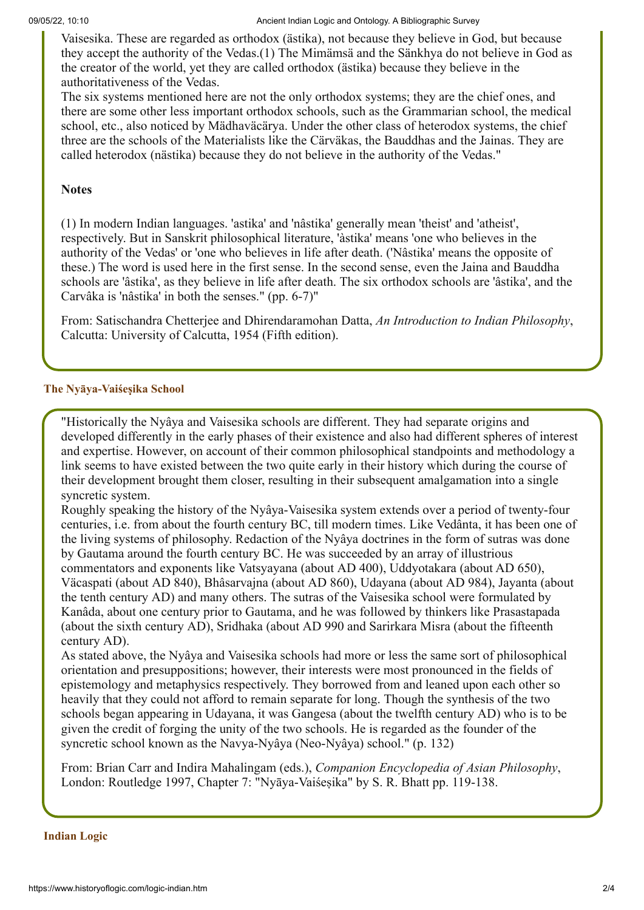Vaisesika. These are regarded as orthodox (ästika), not because they believe in God, but because they accept the authority of the Vedas.(1) The Mimämsä and the Sänkhya do not believe in God as the creator of the world, yet they are called orthodox (ästika) because they believe in the authoritativeness of the Vedas.

The six systems mentioned here are not the only orthodox systems; they are the chief ones, and there are some other less important orthodox schools, such as the Grammarian school, the medical school, etc., also noticed by Mädhaväcärya. Under the other class of heterodox systems, the chief three are the schools of the Materialists like the Cärväkas, the Bauddhas and the Jainas. They are called heterodox (nästika) because they do not believe in the authority of the Vedas."

# **Notes**

(1) In modern Indian languages. 'astika' and 'nâstika' generally mean 'theist' and 'atheist', respectively. But in Sanskrit philosophical literature, 'àstika' means 'one who believes in the authority of the Vedas' or 'one who believes in life after death. ('Nâstika' means the opposite of these.) The word is used here in the first sense. In the second sense, even the Jaina and Bauddha schools are 'âstika', as they believe in life after death. The six orthodox schools are 'âstika', and the Carvâka is 'nâstika' in both the senses." (pp. 6-7)"

From: Satischandra Chetterjee and Dhirendaramohan Datta, *An Introduction to Indian Philosophy*, Calcutta: University of Calcutta, 1954 (Fifth edition).

# **The Nyāya-Vaiśeṣika School**

"Historically the Nyâya and Vaisesika schools are different. They had separate origins and developed differently in the early phases of their existence and also had different spheres of interest and expertise. However, on account of their common philosophical standpoints and methodology a link seems to have existed between the two quite early in their history which during the course of their development brought them closer, resulting in their subsequent amalgamation into a single syncretic system.

Roughly speaking the history of the Nyâya-Vaisesika system extends over a period of twenty-four centuries, i.e. from about the fourth century BC, till modern times. Like Vedânta, it has been one of the living systems of philosophy. Redaction of the Nyâya doctrines in the form of sutras was done by Gautama around the fourth century BC. He was succeeded by an array of illustrious commentators and exponents like Vatsyayana (about AD 400), Uddyotakara (about AD 650), Väcaspati (about AD 840), Bhâsarvajna (about AD 860), Udayana (about AD 984), Jayanta (about the tenth century AD) and many others. The sutras of the Vaisesika school were formulated by Kanâda, about one century prior to Gautama, and he was followed by thinkers like Prasastapada (about the sixth century AD), Sridhaka (about AD 990 and Sarirkara Misra (about the fifteenth century AD).

As stated above, the Nyâya and Vaisesika schools had more or less the same sort of philosophical orientation and presuppositions; however, their interests were most pronounced in the fields of epistemology and metaphysics respectively. They borrowed from and leaned upon each other so heavily that they could not afford to remain separate for long. Though the synthesis of the two schools began appearing in Udayana, it was Gangesa (about the twelfth century AD) who is to be given the credit of forging the unity of the two schools. He is regarded as the founder of the syncretic school known as the Navya-Nyâya (Neo-Nyâya) school." (p. 132)

From: Brian Carr and Indira Mahalingam (eds.), *Companion Encyclopedia of Asian Philosophy*, London: Routledge 1997, Chapter 7: "Nyāya-Vaiśeṣika" by S. R. Bhatt pp. 119-138.

## **Indian Logic**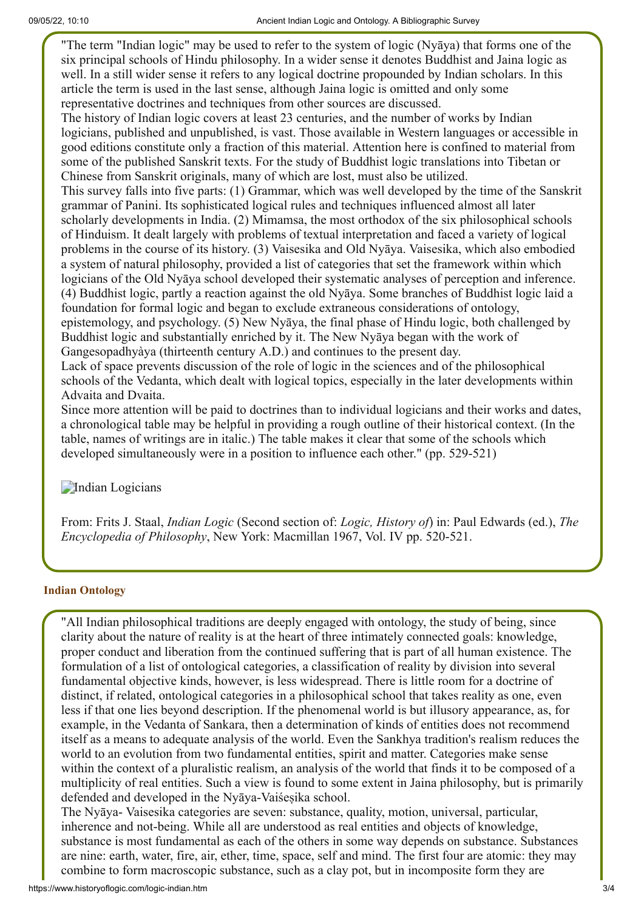"The term "Indian logic" may be used to refer to the system of logic (Nyāya) that forms one of the six principal schools of Hindu philosophy. In a wider sense it denotes Buddhist and Jaina logic as well. In a still wider sense it refers to any logical doctrine propounded by Indian scholars. In this article the term is used in the last sense, although Jaina logic is omitted and only some representative doctrines and techniques from other sources are discussed.

The history of Indian logic covers at least 23 centuries, and the number of works by Indian logicians, published and unpublished, is vast. Those available in Western languages or accessible in good editions constitute only a fraction of this material. Attention here is confined to material from some of the published Sanskrit texts. For the study of Buddhist logic translations into Tibetan or Chinese from Sanskrit originals, many of which are lost, must also be utilized.

This survey falls into five parts: (1) Grammar, which was well developed by the time of the Sanskrit grammar of Panini. Its sophisticated logical rules and techniques influenced almost all later scholarly developments in India. (2) Mimamsa, the most orthodox of the six philosophical schools of Hinduism. It dealt largely with problems of textual interpretation and faced a variety of logical problems in the course of its history. (3) Vaisesika and Old Nyāya. Vaisesika, which also embodied a system of natural philosophy, provided a list of categories that set the framework within which logicians of the Old Nyāya school developed their systematic analyses of perception and inference. (4) Buddhist logic, partly a reaction against the old Nyāya. Some branches of Buddhist logic laid a foundation for formal logic and began to exclude extraneous considerations of ontology, epistemology, and psychology. (5) New Nyāya, the final phase of Hindu logic, both challenged by

Buddhist logic and substantially enriched by it. The New Nyāya began with the work of Gangesopadhyàya (thirteenth century A.D.) and continues to the present day.

Lack of space prevents discussion of the role of logic in the sciences and of the philosophical schools of the Vedanta, which dealt with logical topics, especially in the later developments within Advaita and Dvaita.

Since more attention will be paid to doctrines than to individual logicians and their works and dates, a chronological table may be helpful in providing a rough outline of their historical context. (In the table, names of writings are in italic.) The table makes it clear that some of the schools which developed simultaneously were in a position to influence each other." (pp. 529-521)

Indian Logicians

From: Frits J. Staal, *Indian Logic* (Second section of: *Logic, History of*) in: Paul Edwards (ed.), *The Encyclopedia of Philosophy*, New York: Macmillan 1967, Vol. IV pp. 520-521.

# **Indian Ontology**

"All Indian philosophical traditions are deeply engaged with ontology, the study of being, since clarity about the nature of reality is at the heart of three intimately connected goals: knowledge, proper conduct and liberation from the continued suffering that is part of all human existence. The formulation of a list of ontological categories, a classification of reality by division into several fundamental objective kinds, however, is less widespread. There is little room for a doctrine of distinct, if related, ontological categories in a philosophical school that takes reality as one, even less if that one lies beyond description. If the phenomenal world is but illusory appearance, as, for example, in the Vedanta of Sankara, then a determination of kinds of entities does not recommend itself as a means to adequate analysis of the world. Even the Sankhya tradition's realism reduces the world to an evolution from two fundamental entities, spirit and matter. Categories make sense within the context of a pluralistic realism, an analysis of the world that finds it to be composed of a multiplicity of real entities. Such a view is found to some extent in Jaina philosophy, but is primarily defended and developed in the Nyāya-Vaiśesika school.

The Nyāya- Vaisesika categories are seven: substance, quality, motion, universal, particular, inherence and not-being. While all are understood as real entities and objects of knowledge, substance is most fundamental as each of the others in some way depends on substance. Substances are nine: earth, water, fire, air, ether, time, space, self and mind. The first four are atomic: they may combine to form macroscopic substance, such as a clay pot, but in incomposite form they are